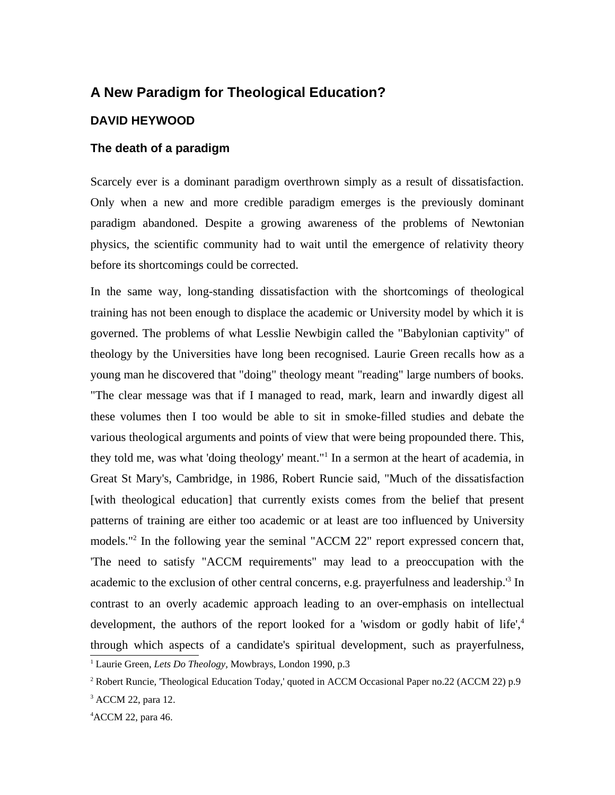# **A New Paradigm for Theological Education?**

## **DAVID HEYWOOD**

## **The death of a paradigm**

Scarcely ever is a dominant paradigm overthrown simply as a result of dissatisfaction. Only when a new and more credible paradigm emerges is the previously dominant paradigm abandoned. Despite a growing awareness of the problems of Newtonian physics, the scientific community had to wait until the emergence of relativity theory before its shortcomings could be corrected.

In the same way, long-standing dissatisfaction with the shortcomings of theological training has not been enough to displace the academic or University model by which it is governed. The problems of what Lesslie Newbigin called the "Babylonian captivity" of theology by the Universities have long been recognised. Laurie Green recalls how as a young man he discovered that "doing" theology meant "reading" large numbers of books. "The clear message was that if I managed to read, mark, learn and inwardly digest all these volumes then I too would be able to sit in smoke-filled studies and debate the various theological arguments and points of view that were being propounded there. This, they told me, was what 'doing theology' meant."<sup>1</sup> In a sermon at the heart of academia, in Great St Mary's, Cambridge, in 1986, Robert Runcie said, "Much of the dissatisfaction [with theological education] that currently exists comes from the belief that present patterns of training are either too academic or at least are too influenced by University models."<sup>2</sup> In the following year the seminal "ACCM 22" report expressed concern that, 'The need to satisfy "ACCM requirements" may lead to a preoccupation with the academic to the exclusion of other central concerns, e.g. prayerfulness and leadership.<sup>13</sup> In contrast to an overly academic approach leading to an over-emphasis on intellectual development, the authors of the report looked for a 'wisdom or godly habit of life',<sup>4</sup> through which aspects of a candidate's spiritual development, such as prayerfulness, 1 Laurie Green, *Lets Do Theology,* Mowbrays, London 1990, p.3

<sup>&</sup>lt;sup>2</sup> Robert Runcie, 'Theological Education Today,' quoted in ACCM Occasional Paper no.22 (ACCM 22) p.9 <sup>3</sup> ACCM 22, para 12.

<sup>4</sup> ACCM 22, para 46.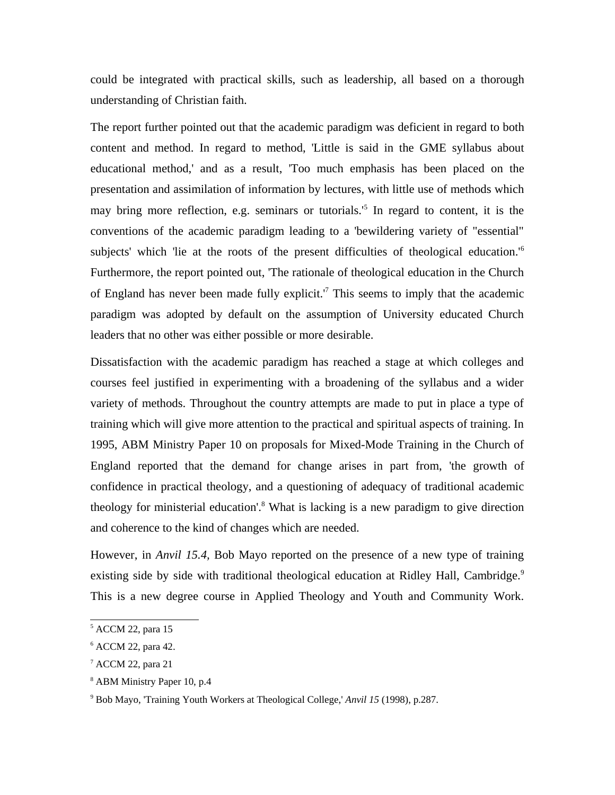could be integrated with practical skills, such as leadership, all based on a thorough understanding of Christian faith.

The report further pointed out that the academic paradigm was deficient in regard to both content and method. In regard to method, 'Little is said in the GME syllabus about educational method,' and as a result, 'Too much emphasis has been placed on the presentation and assimilation of information by lectures, with little use of methods which may bring more reflection, e.g. seminars or tutorials.'5 In regard to content, it is the conventions of the academic paradigm leading to a 'bewildering variety of "essential" subjects' which 'lie at the roots of the present difficulties of theological education.<sup>'6</sup> Furthermore, the report pointed out, 'The rationale of theological education in the Church of England has never been made fully explicit.<sup>'7</sup> This seems to imply that the academic paradigm was adopted by default on the assumption of University educated Church leaders that no other was either possible or more desirable.

Dissatisfaction with the academic paradigm has reached a stage at which colleges and courses feel justified in experimenting with a broadening of the syllabus and a wider variety of methods. Throughout the country attempts are made to put in place a type of training which will give more attention to the practical and spiritual aspects of training. In 1995, ABM Ministry Paper 10 on proposals for Mixed-Mode Training in the Church of England reported that the demand for change arises in part from, 'the growth of confidence in practical theology, and a questioning of adequacy of traditional academic theology for ministerial education'.<sup>8</sup> What is lacking is a new paradigm to give direction and coherence to the kind of changes which are needed.

However, in *Anvil 15.4,* Bob Mayo reported on the presence of a new type of training existing side by side with traditional theological education at Ridley Hall, Cambridge.<sup>9</sup> This is a new degree course in Applied Theology and Youth and Community Work.

<sup>5</sup> ACCM 22, para 15

<sup>6</sup> ACCM 22, para 42.

<sup>7</sup> ACCM 22, para 21

<sup>8</sup> ABM Ministry Paper 10, p.4

<sup>9</sup> Bob Mayo, 'Training Youth Workers at Theological College,' *Anvil 15* (1998), p.287.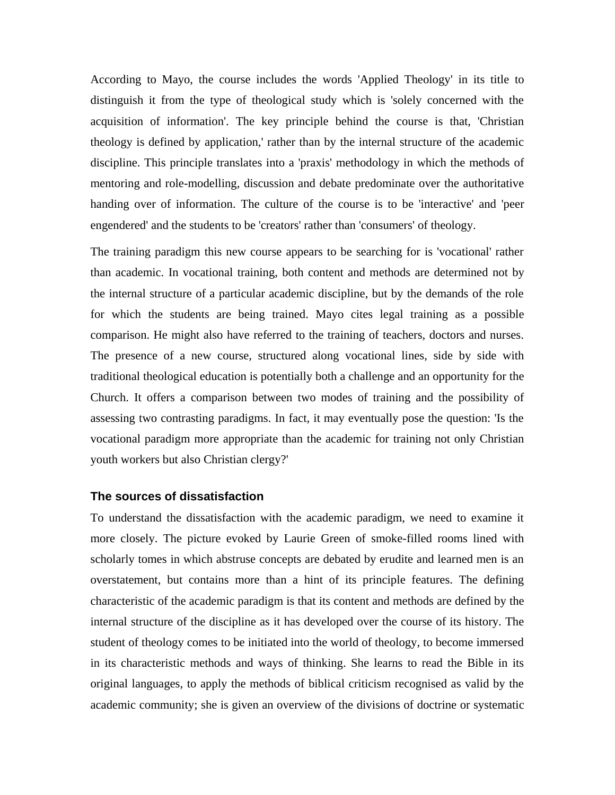According to Mayo, the course includes the words 'Applied Theology' in its title to distinguish it from the type of theological study which is 'solely concerned with the acquisition of information'. The key principle behind the course is that, 'Christian theology is defined by application,' rather than by the internal structure of the academic discipline. This principle translates into a 'praxis' methodology in which the methods of mentoring and role-modelling, discussion and debate predominate over the authoritative handing over of information. The culture of the course is to be 'interactive' and 'peer engendered' and the students to be 'creators' rather than 'consumers' of theology.

The training paradigm this new course appears to be searching for is 'vocational' rather than academic. In vocational training, both content and methods are determined not by the internal structure of a particular academic discipline, but by the demands of the role for which the students are being trained. Mayo cites legal training as a possible comparison. He might also have referred to the training of teachers, doctors and nurses. The presence of a new course, structured along vocational lines, side by side with traditional theological education is potentially both a challenge and an opportunity for the Church. It offers a comparison between two modes of training and the possibility of assessing two contrasting paradigms. In fact, it may eventually pose the question: 'Is the vocational paradigm more appropriate than the academic for training not only Christian youth workers but also Christian clergy?'

## **The sources of dissatisfaction**

To understand the dissatisfaction with the academic paradigm, we need to examine it more closely. The picture evoked by Laurie Green of smoke-filled rooms lined with scholarly tomes in which abstruse concepts are debated by erudite and learned men is an overstatement, but contains more than a hint of its principle features. The defining characteristic of the academic paradigm is that its content and methods are defined by the internal structure of the discipline as it has developed over the course of its history. The student of theology comes to be initiated into the world of theology, to become immersed in its characteristic methods and ways of thinking. She learns to read the Bible in its original languages, to apply the methods of biblical criticism recognised as valid by the academic community; she is given an overview of the divisions of doctrine or systematic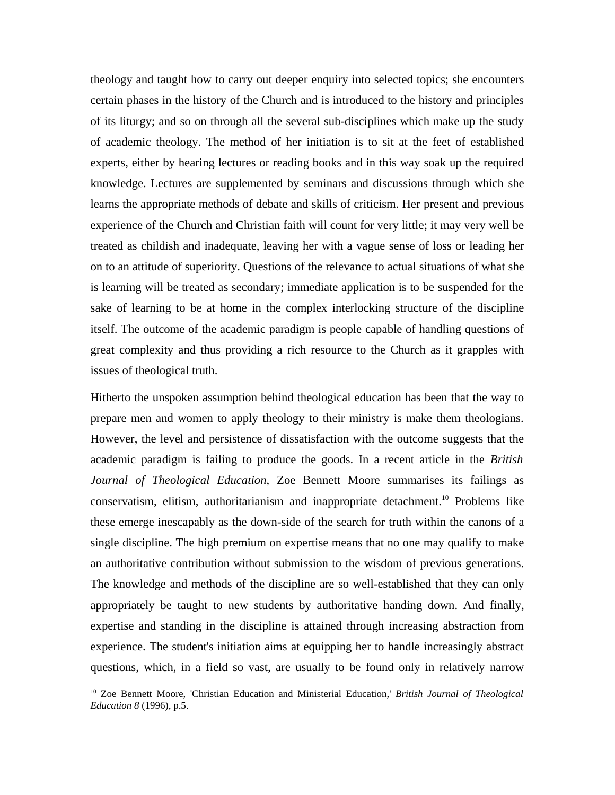theology and taught how to carry out deeper enquiry into selected topics; she encounters certain phases in the history of the Church and is introduced to the history and principles of its liturgy; and so on through all the several sub-disciplines which make up the study of academic theology. The method of her initiation is to sit at the feet of established experts, either by hearing lectures or reading books and in this way soak up the required knowledge. Lectures are supplemented by seminars and discussions through which she learns the appropriate methods of debate and skills of criticism. Her present and previous experience of the Church and Christian faith will count for very little; it may very well be treated as childish and inadequate, leaving her with a vague sense of loss or leading her on to an attitude of superiority. Questions of the relevance to actual situations of what she is learning will be treated as secondary; immediate application is to be suspended for the sake of learning to be at home in the complex interlocking structure of the discipline itself. The outcome of the academic paradigm is people capable of handling questions of great complexity and thus providing a rich resource to the Church as it grapples with issues of theological truth.

Hitherto the unspoken assumption behind theological education has been that the way to prepare men and women to apply theology to their ministry is make them theologians. However, the level and persistence of dissatisfaction with the outcome suggests that the academic paradigm is failing to produce the goods. In a recent article in the *British Journal of Theological Education*, Zoe Bennett Moore summarises its failings as conservatism, elitism, authoritarianism and inappropriate detachment.<sup>10</sup> Problems like these emerge inescapably as the down-side of the search for truth within the canons of a single discipline. The high premium on expertise means that no one may qualify to make an authoritative contribution without submission to the wisdom of previous generations. The knowledge and methods of the discipline are so well-established that they can only appropriately be taught to new students by authoritative handing down. And finally, expertise and standing in the discipline is attained through increasing abstraction from experience. The student's initiation aims at equipping her to handle increasingly abstract questions, which, in a field so vast, are usually to be found only in relatively narrow

<sup>10</sup> Zoe Bennett Moore, 'Christian Education and Ministerial Education,' *British Journal of Theological Education 8* (1996), p.5.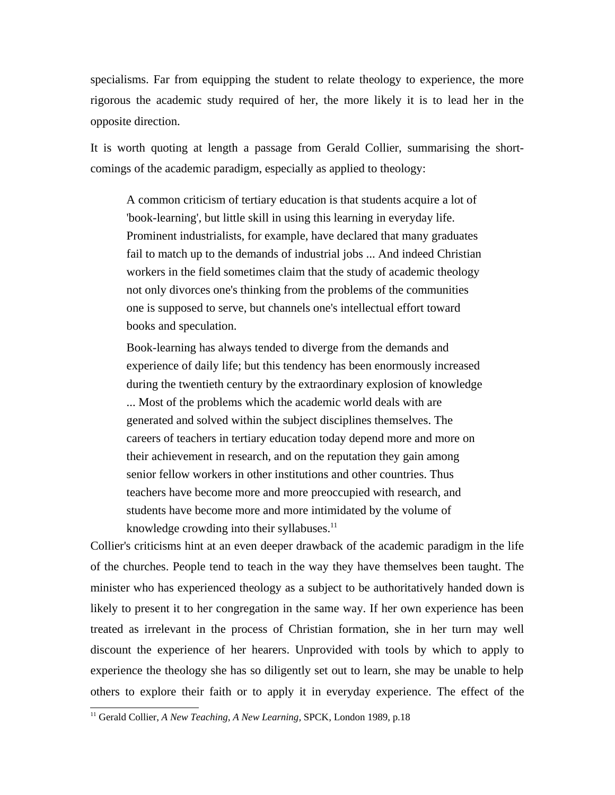specialisms. Far from equipping the student to relate theology to experience, the more rigorous the academic study required of her, the more likely it is to lead her in the opposite direction.

It is worth quoting at length a passage from Gerald Collier, summarising the shortcomings of the academic paradigm, especially as applied to theology:

A common criticism of tertiary education is that students acquire a lot of 'book-learning', but little skill in using this learning in everyday life. Prominent industrialists, for example, have declared that many graduates fail to match up to the demands of industrial jobs ... And indeed Christian workers in the field sometimes claim that the study of academic theology not only divorces one's thinking from the problems of the communities one is supposed to serve, but channels one's intellectual effort toward books and speculation.

Book-learning has always tended to diverge from the demands and experience of daily life; but this tendency has been enormously increased during the twentieth century by the extraordinary explosion of knowledge ... Most of the problems which the academic world deals with are generated and solved within the subject disciplines themselves. The careers of teachers in tertiary education today depend more and more on their achievement in research, and on the reputation they gain among senior fellow workers in other institutions and other countries. Thus teachers have become more and more preoccupied with research, and students have become more and more intimidated by the volume of knowledge crowding into their syllabuses. $<sup>11</sup>$ </sup>

Collier's criticisms hint at an even deeper drawback of the academic paradigm in the life of the churches. People tend to teach in the way they have themselves been taught. The minister who has experienced theology as a subject to be authoritatively handed down is likely to present it to her congregation in the same way. If her own experience has been treated as irrelevant in the process of Christian formation, she in her turn may well discount the experience of her hearers. Unprovided with tools by which to apply to experience the theology she has so diligently set out to learn, she may be unable to help others to explore their faith or to apply it in everyday experience. The effect of the

<sup>&</sup>lt;sup>11</sup> Gerald Collier, *A New Teaching, A New Learning, SPCK*, London 1989, p.18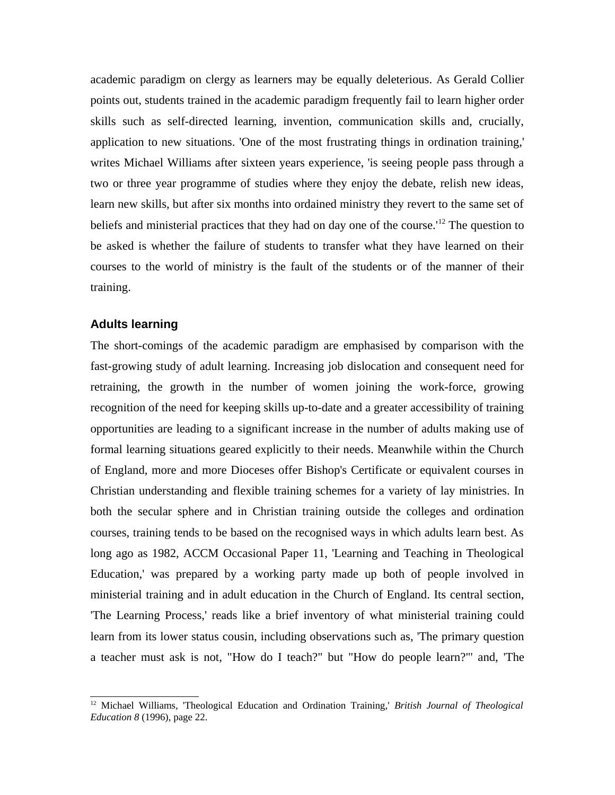academic paradigm on clergy as learners may be equally deleterious. As Gerald Collier points out, students trained in the academic paradigm frequently fail to learn higher order skills such as self-directed learning, invention, communication skills and, crucially, application to new situations. 'One of the most frustrating things in ordination training,' writes Michael Williams after sixteen years experience, 'is seeing people pass through a two or three year programme of studies where they enjoy the debate, relish new ideas, learn new skills, but after six months into ordained ministry they revert to the same set of beliefs and ministerial practices that they had on day one of the course.<sup>'12</sup> The question to be asked is whether the failure of students to transfer what they have learned on their courses to the world of ministry is the fault of the students or of the manner of their training.

#### **Adults learning**

The short-comings of the academic paradigm are emphasised by comparison with the fast-growing study of adult learning. Increasing job dislocation and consequent need for retraining, the growth in the number of women joining the work-force, growing recognition of the need for keeping skills up-to-date and a greater accessibility of training opportunities are leading to a significant increase in the number of adults making use of formal learning situations geared explicitly to their needs. Meanwhile within the Church of England, more and more Dioceses offer Bishop's Certificate or equivalent courses in Christian understanding and flexible training schemes for a variety of lay ministries. In both the secular sphere and in Christian training outside the colleges and ordination courses, training tends to be based on the recognised ways in which adults learn best. As long ago as 1982, ACCM Occasional Paper 11, 'Learning and Teaching in Theological Education,' was prepared by a working party made up both of people involved in ministerial training and in adult education in the Church of England. Its central section, 'The Learning Process,' reads like a brief inventory of what ministerial training could learn from its lower status cousin, including observations such as, 'The primary question a teacher must ask is not, "How do I teach?" but "How do people learn?"' and, 'The

<sup>12</sup> Michael Williams, 'Theological Education and Ordination Training,' *British Journal of Theological Education 8* (1996), page 22.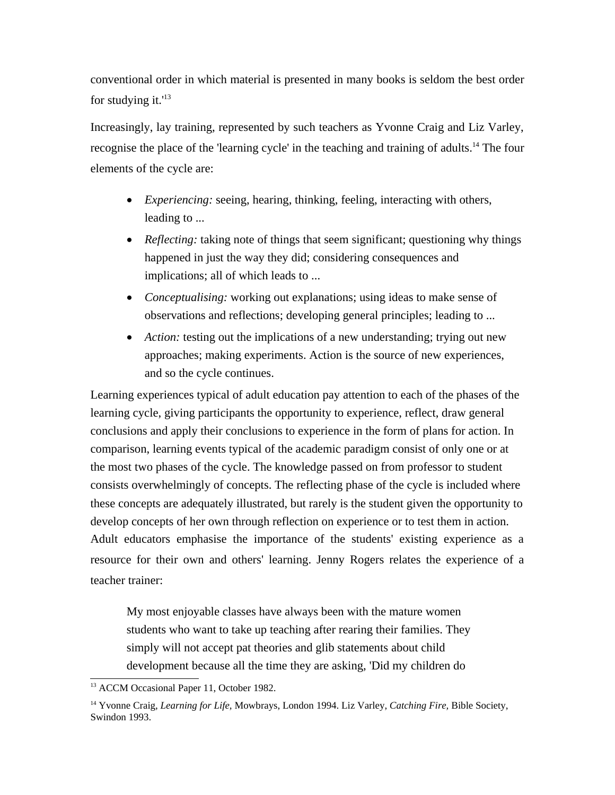conventional order in which material is presented in many books is seldom the best order for studying it. $13$ 

Increasingly, lay training, represented by such teachers as Yvonne Craig and Liz Varley, recognise the place of the 'learning cycle' in the teaching and training of adults.<sup>14</sup> The four elements of the cycle are:

- *Experiencing:* seeing, hearing, thinking, feeling, interacting with others, leading to ...
- *Reflecting:* taking note of things that seem significant; questioning why things happened in just the way they did; considering consequences and implications; all of which leads to ...
- *Conceptualising:* working out explanations; using ideas to make sense of observations and reflections; developing general principles; leading to ...
- *Action:* testing out the implications of a new understanding; trying out new approaches; making experiments. Action is the source of new experiences, and so the cycle continues.

Learning experiences typical of adult education pay attention to each of the phases of the learning cycle, giving participants the opportunity to experience, reflect, draw general conclusions and apply their conclusions to experience in the form of plans for action. In comparison, learning events typical of the academic paradigm consist of only one or at the most two phases of the cycle. The knowledge passed on from professor to student consists overwhelmingly of concepts. The reflecting phase of the cycle is included where these concepts are adequately illustrated, but rarely is the student given the opportunity to develop concepts of her own through reflection on experience or to test them in action. Adult educators emphasise the importance of the students' existing experience as a resource for their own and others' learning. Jenny Rogers relates the experience of a teacher trainer:

My most enjoyable classes have always been with the mature women students who want to take up teaching after rearing their families. They simply will not accept pat theories and glib statements about child development because all the time they are asking, 'Did my children do

<sup>&</sup>lt;sup>13</sup> ACCM Occasional Paper 11, October 1982.

<sup>14</sup> Yvonne Craig, *Learning for Life,* Mowbrays, London 1994. Liz Varley, *Catching Fire,* Bible Society, Swindon 1993.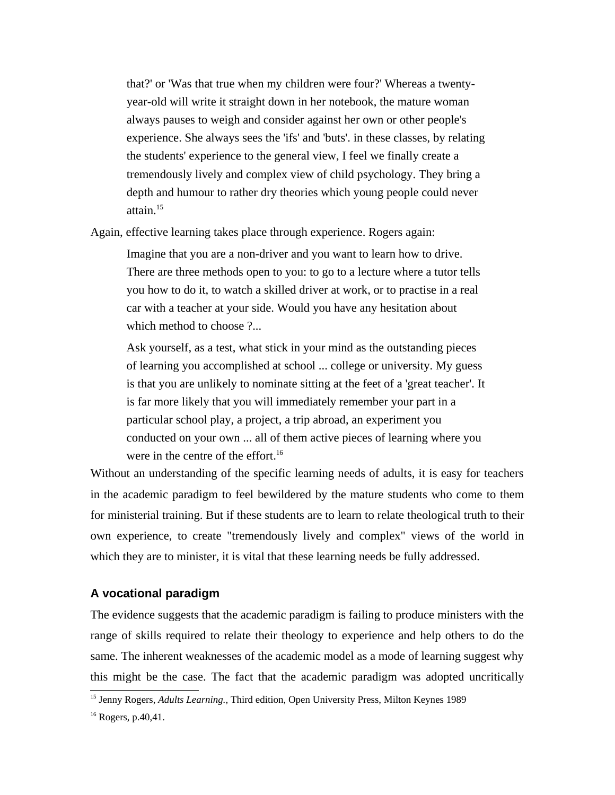that?' or 'Was that true when my children were four?' Whereas a twentyyear-old will write it straight down in her notebook, the mature woman always pauses to weigh and consider against her own or other people's experience. She always sees the 'ifs' and 'buts'. in these classes, by relating the students' experience to the general view, I feel we finally create a tremendously lively and complex view of child psychology. They bring a depth and humour to rather dry theories which young people could never attain.15

Again, effective learning takes place through experience. Rogers again:

Imagine that you are a non-driver and you want to learn how to drive. There are three methods open to you: to go to a lecture where a tutor tells you how to do it, to watch a skilled driver at work, or to practise in a real car with a teacher at your side. Would you have any hesitation about which method to choose ?...

Ask yourself, as a test, what stick in your mind as the outstanding pieces of learning you accomplished at school ... college or university. My guess is that you are unlikely to nominate sitting at the feet of a 'great teacher'. It is far more likely that you will immediately remember your part in a particular school play, a project, a trip abroad, an experiment you conducted on your own ... all of them active pieces of learning where you were in the centre of the effort.<sup>16</sup>

Without an understanding of the specific learning needs of adults, it is easy for teachers in the academic paradigm to feel bewildered by the mature students who come to them for ministerial training. But if these students are to learn to relate theological truth to their own experience, to create "tremendously lively and complex" views of the world in which they are to minister, it is vital that these learning needs be fully addressed.

### **A vocational paradigm**

The evidence suggests that the academic paradigm is failing to produce ministers with the range of skills required to relate their theology to experience and help others to do the same. The inherent weaknesses of the academic model as a mode of learning suggest why this might be the case. The fact that the academic paradigm was adopted uncritically

<sup>&</sup>lt;sup>15</sup> Jenny Rogers, *Adults Learning*., Third edition, Open University Press, Milton Keynes 1989

<sup>16</sup> Rogers, p.40,41.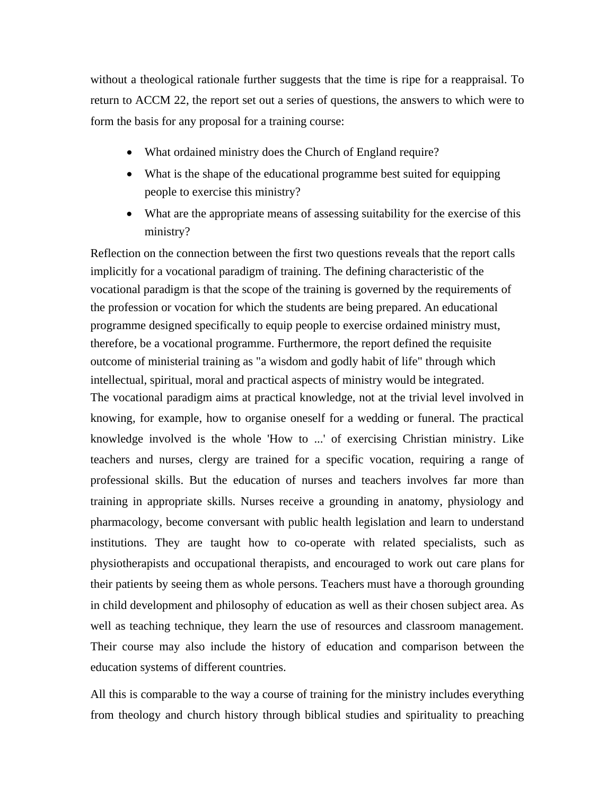without a theological rationale further suggests that the time is ripe for a reappraisal. To return to ACCM 22, the report set out a series of questions, the answers to which were to form the basis for any proposal for a training course:

- What ordained ministry does the Church of England require?
- What is the shape of the educational programme best suited for equipping people to exercise this ministry?
- What are the appropriate means of assessing suitability for the exercise of this ministry?

Reflection on the connection between the first two questions reveals that the report calls implicitly for a vocational paradigm of training. The defining characteristic of the vocational paradigm is that the scope of the training is governed by the requirements of the profession or vocation for which the students are being prepared. An educational programme designed specifically to equip people to exercise ordained ministry must, therefore, be a vocational programme. Furthermore, the report defined the requisite outcome of ministerial training as "a wisdom and godly habit of life" through which intellectual, spiritual, moral and practical aspects of ministry would be integrated. The vocational paradigm aims at practical knowledge, not at the trivial level involved in knowing, for example, how to organise oneself for a wedding or funeral. The practical knowledge involved is the whole 'How to ...' of exercising Christian ministry. Like teachers and nurses, clergy are trained for a specific vocation, requiring a range of professional skills. But the education of nurses and teachers involves far more than training in appropriate skills. Nurses receive a grounding in anatomy, physiology and pharmacology, become conversant with public health legislation and learn to understand institutions. They are taught how to co-operate with related specialists, such as physiotherapists and occupational therapists, and encouraged to work out care plans for their patients by seeing them as whole persons. Teachers must have a thorough grounding in child development and philosophy of education as well as their chosen subject area. As well as teaching technique, they learn the use of resources and classroom management. Their course may also include the history of education and comparison between the education systems of different countries.

All this is comparable to the way a course of training for the ministry includes everything from theology and church history through biblical studies and spirituality to preaching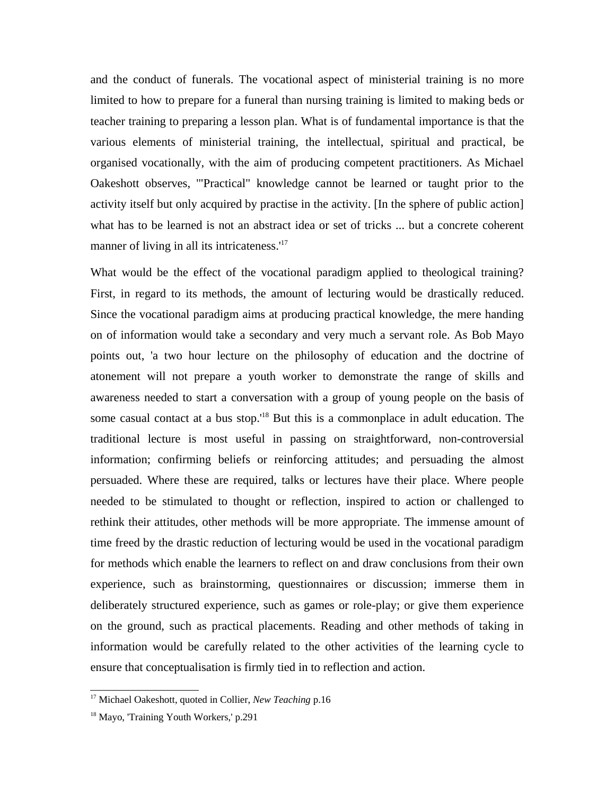and the conduct of funerals. The vocational aspect of ministerial training is no more limited to how to prepare for a funeral than nursing training is limited to making beds or teacher training to preparing a lesson plan. What is of fundamental importance is that the various elements of ministerial training, the intellectual, spiritual and practical, be organised vocationally, with the aim of producing competent practitioners. As Michael Oakeshott observes, '"Practical" knowledge cannot be learned or taught prior to the activity itself but only acquired by practise in the activity. [In the sphere of public action] what has to be learned is not an abstract idea or set of tricks ... but a concrete coherent manner of living in all its intricateness.<sup>'17</sup>

What would be the effect of the vocational paradigm applied to theological training? First, in regard to its methods, the amount of lecturing would be drastically reduced. Since the vocational paradigm aims at producing practical knowledge, the mere handing on of information would take a secondary and very much a servant role. As Bob Mayo points out, 'a two hour lecture on the philosophy of education and the doctrine of atonement will not prepare a youth worker to demonstrate the range of skills and awareness needed to start a conversation with a group of young people on the basis of some casual contact at a bus stop.<sup>18</sup> But this is a commonplace in adult education. The traditional lecture is most useful in passing on straightforward, non-controversial information; confirming beliefs or reinforcing attitudes; and persuading the almost persuaded. Where these are required, talks or lectures have their place. Where people needed to be stimulated to thought or reflection, inspired to action or challenged to rethink their attitudes, other methods will be more appropriate. The immense amount of time freed by the drastic reduction of lecturing would be used in the vocational paradigm for methods which enable the learners to reflect on and draw conclusions from their own experience, such as brainstorming, questionnaires or discussion; immerse them in deliberately structured experience, such as games or role-play; or give them experience on the ground, such as practical placements. Reading and other methods of taking in information would be carefully related to the other activities of the learning cycle to ensure that conceptualisation is firmly tied in to reflection and action.

<sup>&</sup>lt;sup>17</sup> Michael Oakeshott, quoted in Collier, *New Teaching* p.16

<sup>&</sup>lt;sup>18</sup> Mayo, 'Training Youth Workers,' p.291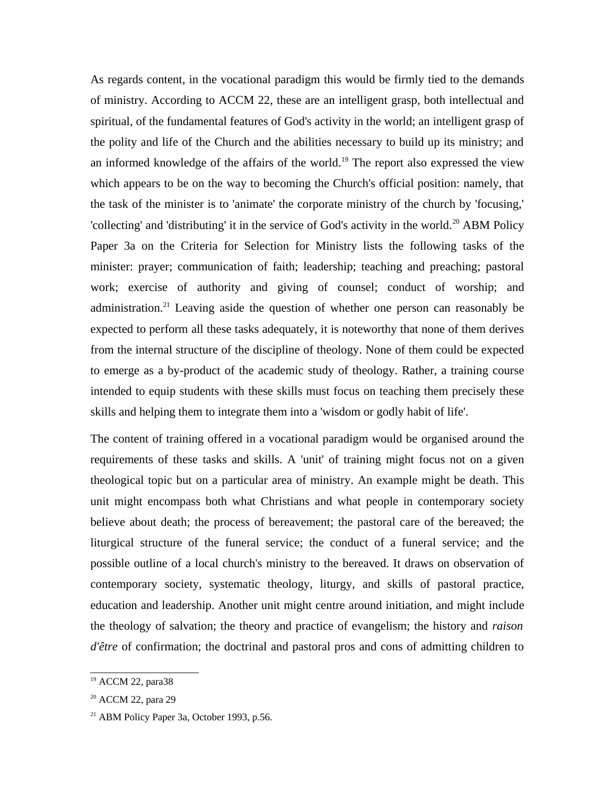As regards content, in the vocational paradigm this would be firmly tied to the demands of ministry. According to ACCM 22, these are an intelligent grasp, both intellectual and spiritual, of the fundamental features of God's activity in the world; an intelligent grasp of the polity and life of the Church and the abilities necessary to build up its ministry; and an informed knowledge of the affairs of the world.<sup>19</sup> The report also expressed the view which appears to be on the way to becoming the Church's official position: namely, that the task of the minister is to 'animate' the corporate ministry of the church by 'focusing,' 'collecting' and 'distributing' it in the service of God's activity in the world.<sup>20</sup> ABM Policy Paper 3a on the Criteria for Selection for Ministry lists the following tasks of the minister: prayer; communication of faith; leadership; teaching and preaching; pastoral work; exercise of authority and giving of counsel; conduct of worship; and administration.<sup>21</sup> Leaving aside the question of whether one person can reasonably be expected to perform all these tasks adequately, it is noteworthy that none of them derives from the internal structure of the discipline of theology. None of them could be expected to emerge as a by-product of the academic study of theology. Rather, a training course intended to equip students with these skills must focus on teaching them precisely these skills and helping them to integrate them into a 'wisdom or godly habit of life'.

The content of training offered in a vocational paradigm would be organised around the requirements of these tasks and skills. A 'unit' of training might focus not on a given theological topic but on a particular area of ministry. An example might be death. This unit might encompass both what Christians and what people in contemporary society believe about death; the process of bereavement; the pastoral care of the bereaved; the liturgical structure of the funeral service; the conduct of a funeral service; and the possible outline of a local church's ministry to the bereaved. It draws on observation of contemporary society, systematic theology, liturgy, and skills of pastoral practice, education and leadership. Another unit might centre around initiation, and might include the theology of salvation; the theory and practice of evangelism; the history and *raison d'être* of confirmation; the doctrinal and pastoral pros and cons of admitting children to

<sup>19</sup> ACCM 22, para38

<sup>&</sup>lt;sup>20</sup> ACCM 22, para 29

<sup>21</sup> ABM Policy Paper 3a, October 1993, p.56.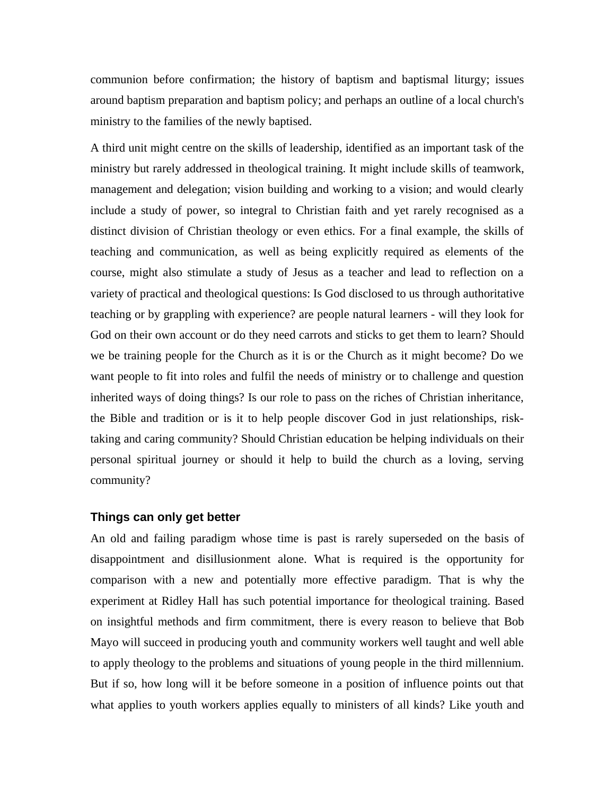communion before confirmation; the history of baptism and baptismal liturgy; issues around baptism preparation and baptism policy; and perhaps an outline of a local church's ministry to the families of the newly baptised.

A third unit might centre on the skills of leadership, identified as an important task of the ministry but rarely addressed in theological training. It might include skills of teamwork, management and delegation; vision building and working to a vision; and would clearly include a study of power, so integral to Christian faith and yet rarely recognised as a distinct division of Christian theology or even ethics. For a final example, the skills of teaching and communication, as well as being explicitly required as elements of the course, might also stimulate a study of Jesus as a teacher and lead to reflection on a variety of practical and theological questions: Is God disclosed to us through authoritative teaching or by grappling with experience? are people natural learners - will they look for God on their own account or do they need carrots and sticks to get them to learn? Should we be training people for the Church as it is or the Church as it might become? Do we want people to fit into roles and fulfil the needs of ministry or to challenge and question inherited ways of doing things? Is our role to pass on the riches of Christian inheritance, the Bible and tradition or is it to help people discover God in just relationships, risktaking and caring community? Should Christian education be helping individuals on their personal spiritual journey or should it help to build the church as a loving, serving community?

#### **Things can only get better**

An old and failing paradigm whose time is past is rarely superseded on the basis of disappointment and disillusionment alone. What is required is the opportunity for comparison with a new and potentially more effective paradigm. That is why the experiment at Ridley Hall has such potential importance for theological training. Based on insightful methods and firm commitment, there is every reason to believe that Bob Mayo will succeed in producing youth and community workers well taught and well able to apply theology to the problems and situations of young people in the third millennium. But if so, how long will it be before someone in a position of influence points out that what applies to youth workers applies equally to ministers of all kinds? Like youth and